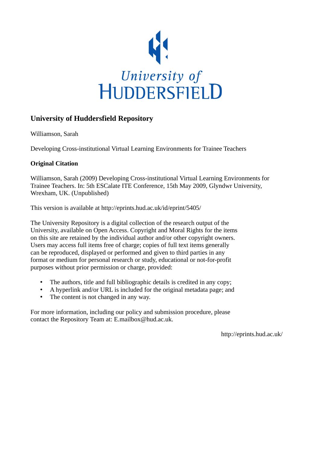

## **University of Huddersfield Repository**

Williamson, Sarah

Developing Cross-institutional Virtual Learning Environments for Trainee Teachers

## **Original Citation**

Williamson, Sarah (2009) Developing Cross-institutional Virtual Learning Environments for Trainee Teachers. In: 5th ESCalate ITE Conference, 15th May 2009, Glyndwr University, Wrexham, UK. (Unpublished)

This version is available at http://eprints.hud.ac.uk/id/eprint/5405/

The University Repository is a digital collection of the research output of the University, available on Open Access. Copyright and Moral Rights for the items on this site are retained by the individual author and/or other copyright owners. Users may access full items free of charge; copies of full text items generally can be reproduced, displayed or performed and given to third parties in any format or medium for personal research or study, educational or not-for-profit purposes without prior permission or charge, provided:

- The authors, title and full bibliographic details is credited in any copy;
- A hyperlink and/or URL is included for the original metadata page; and
- The content is not changed in any way.

For more information, including our policy and submission procedure, please contact the Repository Team at: E.mailbox@hud.ac.uk.

http://eprints.hud.ac.uk/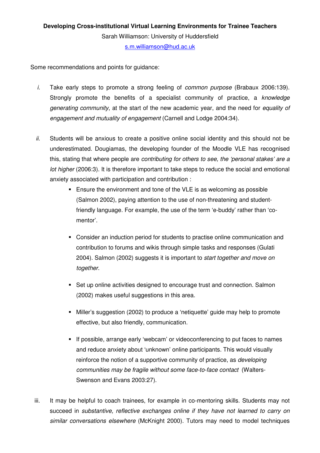Some recommendations and points for guidance:

- i. Take early steps to promote a strong feeling of *common purpose* (Brabaux 2006:139). Strongly promote the benefits of a specialist community of practice, a knowledge generating community, at the start of the new academic year, and the need for equality of engagement and mutuality of engagement (Carnell and Lodge 2004:34).
- ii. Students will be anxious to create a positive online social identity and this should not be underestimated. Dougiamas, the developing founder of the Moodle VLE has recognised this, stating that where people are contributing for others to see, the 'personal stakes' are a lot higher (2006:3). It is therefore important to take steps to reduce the social and emotional anxiety associated with participation and contribution :
	- **Ensure the environment and tone of the VLE is as welcoming as possible** (Salmon 2002), paying attention to the use of non-threatening and studentfriendly language. For example, the use of the term 'e-buddy' rather than 'comentor'.
	- Consider an induction period for students to practise online communication and contribution to forums and wikis through simple tasks and responses (Gulati 2004). Salmon (2002) suggests it is important to start together and move on together.
	- Set up online activities designed to encourage trust and connection. Salmon (2002) makes useful suggestions in this area.
	- Miller's suggestion (2002) to produce a 'netiquette' guide may help to promote effective, but also friendly, communication.
	- If possible, arrange early 'webcam' or videoconferencing to put faces to names and reduce anxiety about 'unknown' online participants. This would visually reinforce the notion of a supportive community of practice, as developing communities may be fragile without some face-to-face contact (Walters-Swenson and Evans 2003:27).
- iii. It may be helpful to coach trainees, for example in co-mentoring skills. Students may not succeed in substantive, reflective exchanges online if they have not learned to carry on similar conversations elsewhere (McKnight 2000). Tutors may need to model techniques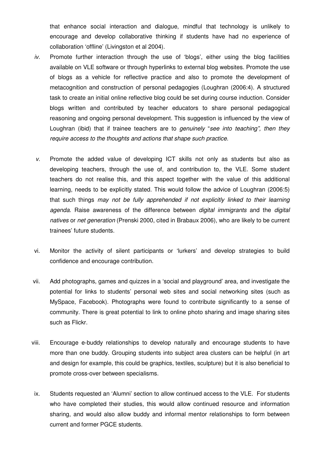that enhance social interaction and dialogue, mindful that technology is unlikely to encourage and develop collaborative thinking if students have had no experience of collaboration 'offline' (Livingston et al 2004).

- $iv.$  Promote further interaction through the use of 'blogs', either using the blog facilities available on VLE software or through hyperlinks to external blog websites. Promote the use of blogs as a vehicle for reflective practice and also to promote the development of metacognition and construction of personal pedagogies (Loughran (2006:4). A structured task to create an initial online reflective blog could be set during course induction. Consider blogs written and contributed by teacher educators to share personal pedagogical reasoning and ongoing personal development. This suggestion is influenced by the view of Loughran (ibid) that if trainee teachers are to *genuinely "see into teaching"*, then they require access to the thoughts and actions that shape such practice.
- v. Promote the added value of developing ICT skills not only as students but also as developing teachers, through the use of, and contribution to, the VLE. Some student teachers do not realise this, and this aspect together with the value of this additional learning, needs to be explicitly stated. This would follow the advice of Loughran (2006:5) that such things may not be fully apprehended if not explicitly linked to their learning agenda. Raise awareness of the difference between *digital immigrants* and the *digital* natives or net generation (Prenski 2000, cited in Brabaux 2006), who are likely to be current trainees' future students.
- vi. Monitor the activity of silent participants or 'lurkers' and develop strategies to build confidence and encourage contribution.
- vii. Add photographs, games and quizzes in a 'social and playground' area, and investigate the potential for links to students' personal web sites and social networking sites (such as MySpace, Facebook). Photographs were found to contribute significantly to a sense of community. There is great potential to link to online photo sharing and image sharing sites such as Flickr.
- viii. Encourage e-buddy relationships to develop naturally and encourage students to have more than one buddy. Grouping students into subject area clusters can be helpful (in art and design for example, this could be graphics, textiles, sculpture) but it is also beneficial to promote cross-over between specialisms.
- ix. Students requested an 'Alumni' section to allow continued access to the VLE. For students who have completed their studies, this would allow continued resource and information sharing, and would also allow buddy and informal mentor relationships to form between current and former PGCE students.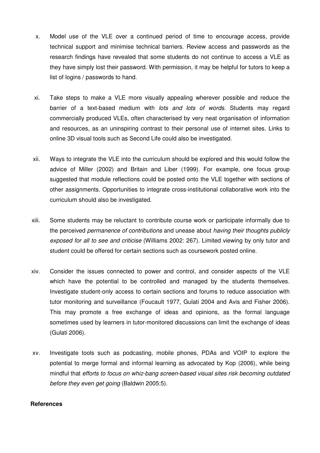- x. Model use of the VLE over a continued period of time to encourage access, provide technical support and minimise technical barriers. Review access and passwords as the research findings have revealed that some students do not continue to access a VLE as they have simply lost their password. With permission, it may be helpful for tutors to keep a list of logins / passwords to hand.
- xi. Take steps to make a VLE more visually appealing wherever possible and reduce the barrier of a text-based medium with lots and lots of words. Students may regard commercially produced VLEs, often characterised by very neat organisation of information and resources, as an uninspiring contrast to their personal use of internet sites. Links to online 3D visual tools such as Second Life could also be investigated.
- xii. Ways to integrate the VLE into the curriculum should be explored and this would follow the advice of Miller (2002) and Britain and Liber (1999). For example, one focus group suggested that module reflections could be posted onto the VLE together with sections of other assignments. Opportunities to integrate cross-institutional collaborative work into the curriculum should also be investigated.
- xiii. Some students may be reluctant to contribute course work or participate informally due to the perceived permanence of contributions and unease about having their thoughts publicly exposed for all to see and criticise (Williams 2002: 267). Limited viewing by only tutor and student could be offered for certain sections such as coursework posted online.
- xiv. Consider the issues connected to power and control, and consider aspects of the VLE which have the potential to be controlled and managed by the students themselves. Investigate student-only access to certain sections and forums to reduce association with tutor monitoring and surveillance (Foucault 1977, Gulati 2004 and Avis and Fisher 2006). This may promote a free exchange of ideas and opinions, as the formal language sometimes used by learners in tutor-monitored discussions can limit the exchange of ideas (Gulati 2006).
- xv. Investigate tools such as podcasting, mobile phones, PDAs and VOIP to explore the potential to merge formal and informal learning as advocated by Kop (2006), while being mindful that efforts to focus on whiz-bang screen-based visual sites risk becoming outdated before they even get going (Baldwin 2005:5).

## **References**